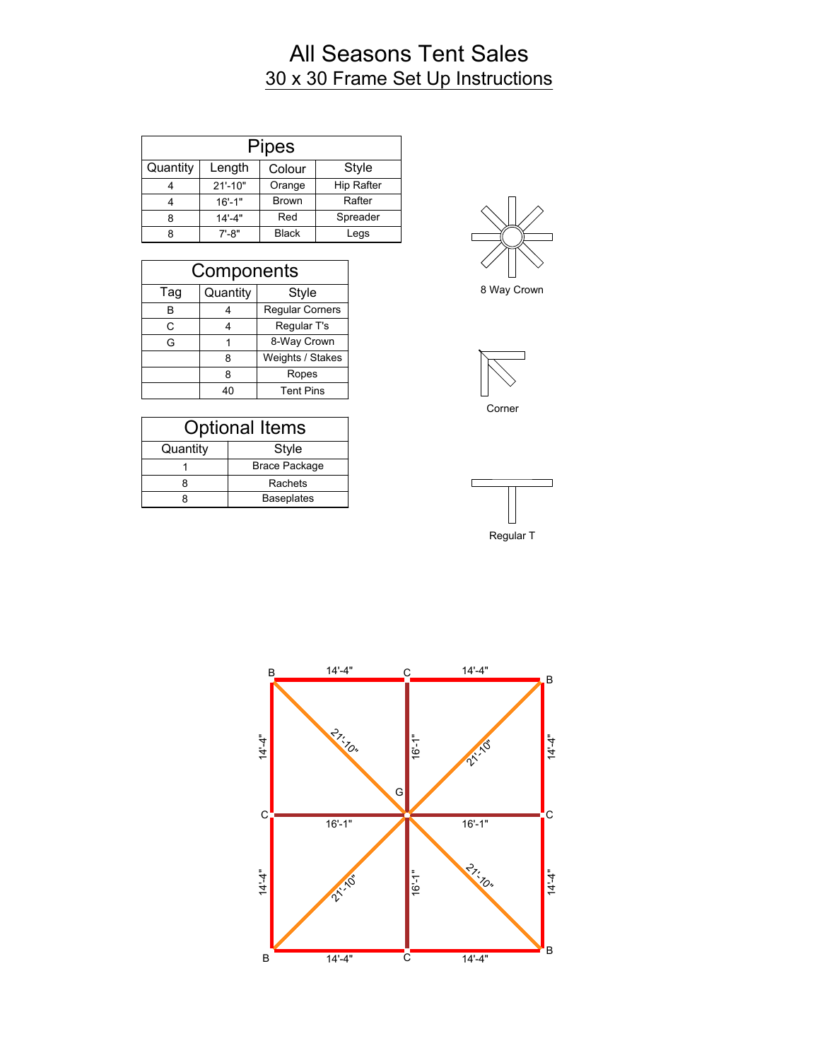## All Seasons Tent Sales 30 x 30 Frame Set Up Instructions

|          |             | <b>Pipes</b> |                   |
|----------|-------------|--------------|-------------------|
| Quantity | Length      | Colour       | Style             |
|          | $21' - 10"$ | Orange       | <b>Hip Rafter</b> |
|          | $16' - 1"$  | <b>Brown</b> | Rafter            |
| 8        | $14' - 4"$  | Red          | Spreader          |
|          | $7' - 8"$   | <b>Black</b> | Legs              |

| Components |          |                        |
|------------|----------|------------------------|
| Tag        | Quantity | <b>Style</b>           |
| в          |          | <b>Regular Corners</b> |
| C          |          | Regular T's            |
| G          |          | 8-Way Crown            |
|            | 8        | Weights / Stakes       |
|            | 8        | Ropes                  |
|            | 40       | <b>Tent Pins</b>       |

| <b>Optional Items</b> |                      |  |
|-----------------------|----------------------|--|
| Quantity              | Style                |  |
|                       | <b>Brace Package</b> |  |
|                       | Rachets              |  |
|                       | <b>Baseplates</b>    |  |



8 Way Crown